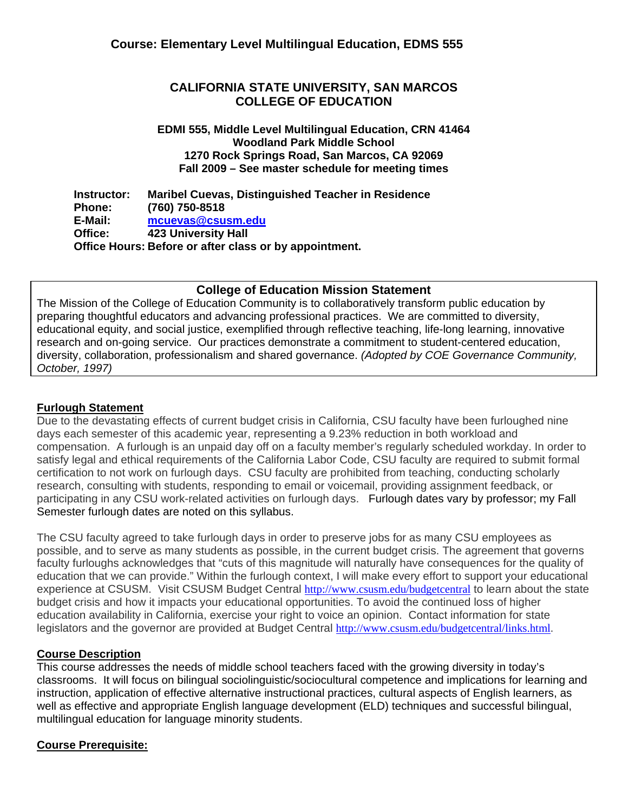# **CALIFORNIA STATE UNIVERSITY, SAN MARCOS COLLEGE OF EDUCATION**

#### **EDMI 555, Middle Level Multilingual Education, CRN 41464 Woodland Park Middle School 1270 Rock Springs Road, San Marcos, CA 92069 Fall 2009 – See master schedule for meeting times**

**Instructor: Phone: E-Mail: Office: Maribel Cuevas, Distinguished Teacher in Residence (760) 750-8518 mcuevas@csusm.edu 423 University Hall Office Hours: Before or after class or by appointment.** 

## **College of Education Mission Statement**

The Mission of the College of Education Community is to collaboratively transform public education by preparing thoughtful educators and advancing professional practices. We are committed to diversity, educational equity, and social justice, exemplified through reflective teaching, life-long learning, innovative research and on-going service. Our practices demonstrate a commitment to student-centered education, diversity, collaboration, professionalism and shared governance. *(Adopted by COE Governance Community, October, 1997)*

## **Furlough Statement**

Due to the devastating effects of current budget crisis in California, CSU faculty have been furloughed nine days each semester of this academic year, representing a 9.23% reduction in both workload and compensation. A furlough is an unpaid day off on a faculty member's regularly scheduled workday. In order to satisfy legal and ethical requirements of the California Labor Code, CSU faculty are required to submit formal certification to not work on furlough days. CSU faculty are prohibited from teaching, conducting scholarly research, consulting with students, responding to email or voicemail, providing assignment feedback, or participating in any CSU work-related activities on furlough days. Furlough dates vary by professor; my Fall Semester furlough dates are noted on this syllabus.

The CSU faculty agreed to take furlough days in order to preserve jobs for as many CSU employees as possible, and to serve as many students as possible, in the current budget crisis. The agreement that governs faculty furloughs acknowledges that "cuts of this magnitude will naturally have consequences for the quality of education that we can provide." Within the furlough context, I will make every effort to support your educational experience at CSUSM. Visit CSUSM Budget Central http://www.csusm.edu/budgetcentral to learn about the state budget crisis and how it impacts your educational opportunities. To avoid the continued loss of higher education availability in California, exercise your right to voice an opinion. Contact information for state legislators and the governor are provided at Budget Central http://www.csusm.edu/budgetcentral/links.html.

## **Course Description**

 instruction, application of effective alternative instructional practices, cultural aspects of English learners, as This course addresses the needs of middle school teachers faced with the growing diversity in today's classrooms. It will focus on bilingual sociolinguistic/sociocultural competence and implications for learning and well as effective and appropriate English language development (ELD) techniques and successful bilingual, multilingual education for language minority students.

## **Course Prerequisite:**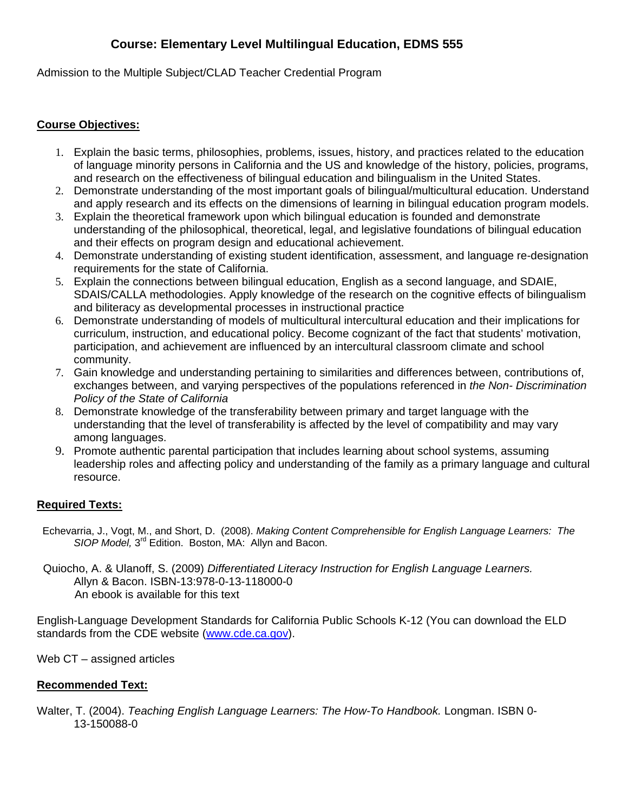Admission to the Multiple Subject/CLAD Teacher Credential Program

# **Course Objectives:**

- and research on the effectiveness of bilingual education and bilingualism in the United States. 1. Explain the basic terms, philosophies, problems, issues, history, and practices related to the education of language minority persons in California and the US and knowledge of the history, policies, programs,
- and apply research and its effects on the dimensions of learning in bilingual education program models. 2. Demonstrate understanding of the most important goals of bilingual/multicultural education. Understand
- and their effects on program design and educational achievement. 3. Explain the theoretical framework upon which bilingual education is founded and demonstrate understanding of the philosophical, theoretical, legal, and legislative foundations of bilingual education
- requirements for the state of California. 4. Demonstrate understanding of existing student identification, assessment, and language re-designation
- and biliteracy as developmental processes in instructional practice 5. Explain the connections between bilingual education, English as a second language, and SDAIE, SDAIS/CALLA methodologies. Apply knowledge of the research on the cognitive effects of bilingualism
- community. 6. Demonstrate understanding of models of multicultural intercultural education and their implications for curriculum, instruction, and educational policy. Become cognizant of the fact that students' motivation, participation, and achievement are influenced by an intercultural classroom climate and school
- *Policy of the State of California* 7. Gain knowledge and understanding pertaining to similarities and differences between, contributions of, exchanges between, and varying perspectives of the populations referenced in *the Non- Discrimination*
- among languages. 8. Demonstrate knowledge of the transferability between primary and target language with the understanding that the level of transferability is affected by the level of compatibility and may vary
- resource. 9. Promote authentic parental participation that includes learning about school systems, assuming leadership roles and affecting policy and understanding of the family as a primary language and cultural

# **Required Texts:**

- Echevarria, J., Vogt, M., and Short, D. (2008). *Making Content Comprehensible for English Language Learners: The SIOP Model,* 3rd Edition. Boston, MA: Allyn and Bacon.
- Quiocho, A. & Ulanoff, S. (2009) *Differentiated Literacy Instruction for English Language Learners.* Allyn & Bacon. ISBN-13:978-0-13-118000-0 An ebook is available for this text

English-Language Development Standards for California Public Schools K-12 (You can download the ELD standards from the CDE website (www.cde.ca.gov).

Web CT – assigned articles

# **Recommended Text:**

Walter, T. (2004). *Teaching English Language Learners: The How-To Handbook.* Longman. ISBN 0- 13-150088-0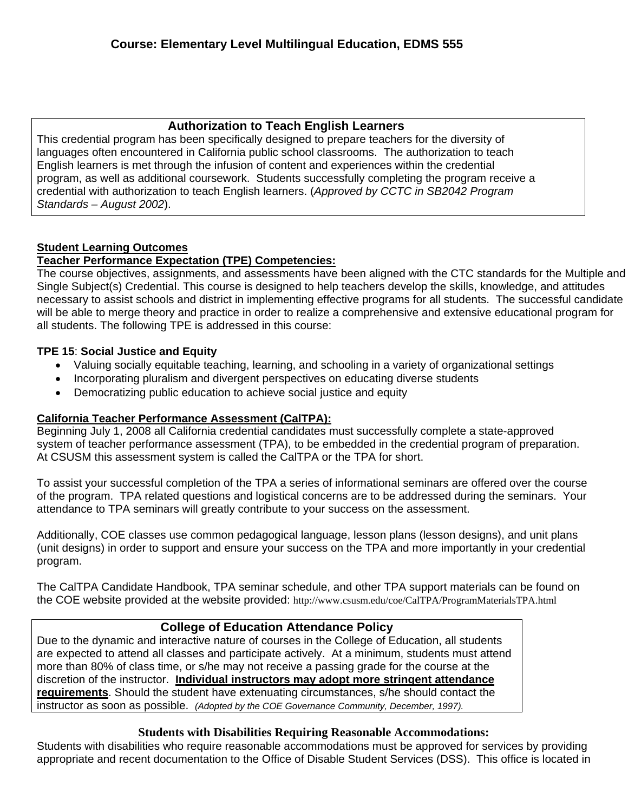# **Authorization to Teach English Learners**

This credential program has been specifically designed to prepare teachers for the diversity of languages often encountered in California public school classrooms. The authorization to teach English learners is met through the infusion of content and experiences within the credential program, as well as additional coursework. Students successfully completing the program receive a credential with authorization to teach English learners. (*Approved by CCTC in SB2042 Program Standards – August 2002*).

# **Student Learning Outcomes**

# **Teacher Performance Expectation (TPE) Competencies:**

The course objectives, assignments, and assessments have been aligned with the CTC standards for the Multiple and Single Subject(s) Credential. This course is designed to help teachers develop the skills, knowledge, and attitudes necessary to assist schools and district in implementing effective programs for all students. The successful candidate will be able to merge theory and practice in order to realize a comprehensive and extensive educational program for all students. The following TPE is addressed in this course:

# **TPE 15**: **Social Justice and Equity**

- Valuing socially equitable teaching, learning, and schooling in a variety of organizational settings
- Incorporating pluralism and divergent perspectives on educating diverse students
- Democratizing public education to achieve social justice and equity

## **California Teacher Performance Assessment (CalTPA):**

system of teacher performance assessment (TPA), to be embedded in the credential program of preparation.<br>At CSUSM this assessment system is called the CalTPA or the TPA for short. Beginning July 1, 2008 all California credential candidates must successfully complete a state-approved

To assist your successful completion of the TPA a series of informational seminars are offered over the course of the program. TPA related questions and logistical concerns are to be addressed during the seminars. Your attendance to TPA seminars will greatly contribute to your success on the assessment.

Additionally, COE classes use common pedagogical language, lesson plans (lesson designs), and unit plans (unit designs) in order to support and ensure your success on the TPA and more importantly in your credential program.

The CalTPA Candidate Handbook, TPA seminar schedule, and other TPA support materials can be found on the COE website provided at the website provided: http://www.csusm.edu/coe/CalTPA/ProgramMaterialsTPA.html

# **College of Education Attendance Policy**

Due to the dynamic and interactive nature of courses in the College of Education, all students are expected to attend all classes and participate actively. At a minimum, students must attend more than 80% of class time, or s/he may not receive a passing grade for the course at the discretion of the instructor. **Individual instructors may adopt more stringent attendance requirements**. Should the student have extenuating circumstances, s/he should contact the instructor as soon as possible. *(Adopted by the COE Governance Community, December, 1997).* 

## **Students with Disabilities Requiring Reasonable Accommodations:**

Students with disabilities who require reasonable accommodations must be approved for services by providing appropriate and recent documentation to the Office of Disable Student Services (DSS). This office is located in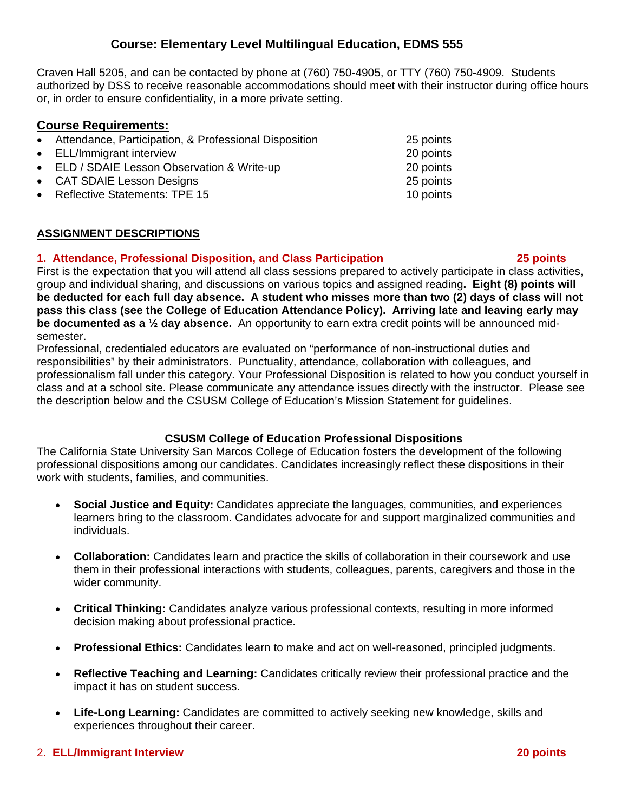Craven Hall 5205, and can be contacted by phone at (760) 750-4905, or TTY (760) 750-4909. Students authorized by DSS to receive reasonable accommodations should meet with their instructor during office hours or, in order to ensure confidentiality, in a more private setting.

# **Course Requirements:**

| • Attendance, Participation, & Professional Disposition | 25 points |
|---------------------------------------------------------|-----------|
| • ELL/Immigrant interview                               | 20 points |
| • ELD / SDAIE Lesson Observation & Write-up             | 20 points |
| • CAT SDAIE Lesson Designs                              | 25 points |
| • Reflective Statements: TPE 15                         | 10 points |
|                                                         |           |

## **ASSIGNMENT DESCRIPTIONS**

#### **1. Attendance, Professional Disposition, and Class Participation 25 points**

First is the expectation that you will attend all class sessions prepared to actively participate in class activities, group and individual sharing, and discussions on various topics and assigned reading**. Eight (8) points will be deducted for each full day absence. A student who misses more than two (2) days of class will not pass this class (see the College of Education Attendance Policy). Arriving late and leaving early may be documented as a ½ day absence.** An opportunity to earn extra credit points will be announced midsemester.

 the description below and the CSUSM College of Education's Mission Statement for guidelines. Professional, credentialed educators are evaluated on "performance of non-instructional duties and responsibilities" by their administrators. Punctuality, attendance, collaboration with colleagues, and professionalism fall under this category. Your Professional Disposition is related to how you conduct yourself in class and at a school site. Please communicate any attendance issues directly with the instructor. Please see

## **CSUSM College of Education Professional Dispositions**

The California State University San Marcos College of Education fosters the development of the following professional dispositions among our candidates. Candidates increasingly reflect these dispositions in their work with students, families, and communities.

- **Social Justice and Equity:** Candidates appreciate the languages, communities, and experiences learners bring to the classroom. Candidates advocate for and support marginalized communities and individuals.
- **Collaboration:** Candidates learn and practice the skills of collaboration in their coursework and use them in their professional interactions with students, colleagues, parents, caregivers and those in the wider community.
- **Critical Thinking:** Candidates analyze various professional contexts, resulting in more informed decision making about professional practice.
- **Professional Ethics:** Candidates learn to make and act on well-reasoned, principled judgments.
- **Reflective Teaching and Learning:** Candidates critically review their professional practice and the impact it has on student success.
- experiences throughout their career. • **Life-Long Learning:** Candidates are committed to actively seeking new knowledge, skills and

## 2. **ELL/Immigrant Interview 20 points**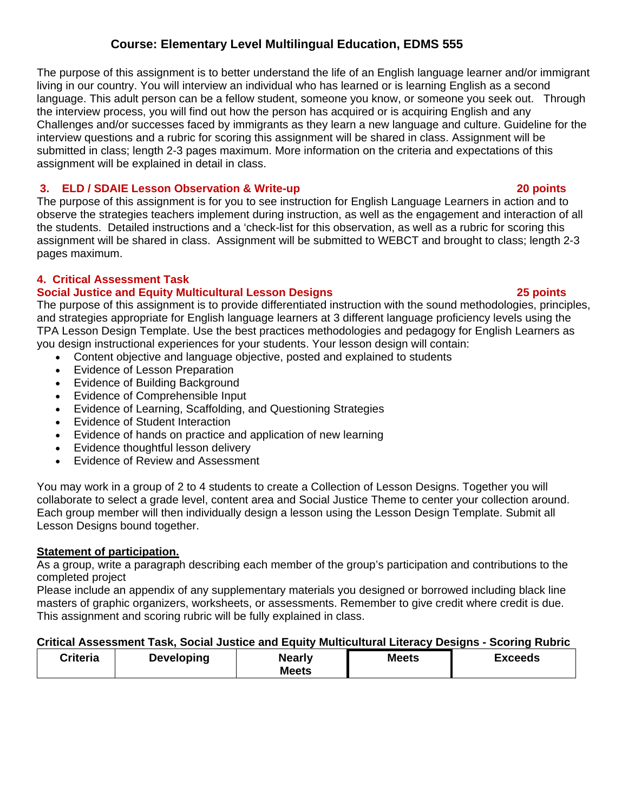The purpose of this assignment is to better understand the life of an English language learner and/or immigrant living in our country. You will interview an individual who has learned or is learning English as a second language. This adult person can be a fellow student, someone you know, or someone you seek out. Through the interview process, you will find out how the person has acquired or is acquiring English and any Challenges and/or successes faced by immigrants as they learn a new language and culture. Guideline for the interview questions and a rubric for scoring this assignment will be shared in class. Assignment will be submitted in class; length 2-3 pages maximum. More information on the criteria and expectations of this assignment will be explained in detail in class.

# **20 points 12. ELD / SDAIE Lesson Observation & Write-up 20 points <b>20 points**

The purpose of this assignment is for you to see instruction for English Language Learners in action and to observe the strategies teachers implement during instruction, as well as the engagement and interaction of all the students. Detailed instructions and a 'check-list for this observation, as well as a rubric for scoring this assignment will be shared in class. Assignment will be submitted to WEBCT and brought to class; length 2-3 pages maximum.

# **4. Critical Assessment Task**

# **Social Justice and Equity Multicultural Lesson Designs 25 points**

The purpose of this assignment is to provide differentiated instruction with the sound methodologies, principles, and strategies appropriate for English language learners at 3 different language proficiency levels using the TPA Lesson Design Template. Use the best practices methodologies and pedagogy for English Learners as you design instructional experiences for your students. Your lesson design will contain:

- Content objective and language objective, posted and explained to students
- Evidence of Lesson Preparation
- Evidence of Building Background
- Evidence of Comprehensible Input
- Evidence of Learning, Scaffolding, and Questioning Strategies
- Evidence of Student Interaction
- Evidence of hands on practice and application of new learning
- Evidence thoughtful lesson delivery
- Evidence of Review and Assessment

You may work in a group of 2 to 4 students to create a Collection of Lesson Designs. Together you will collaborate to select a grade level, content area and Social Justice Theme to center your collection around. Each group member will then individually design a lesson using the Lesson Design Template. Submit all Lesson Designs bound together.

## **Statement of participation.**

As a group, write a paragraph describing each member of the group's participation and contributions to the completed project

 This assignment and scoring rubric will be fully explained in class. Please include an appendix of any supplementary materials you designed or borrowed including black line masters of graphic organizers, worksheets, or assessments. Remember to give credit where credit is due.

## **Critical Assessment Task, Social Justice and Equity Multicultural Literacy Designs - Scoring Rubric**

| Criteria | <b>Developing</b> | <b>Nearly</b><br><b>Meets</b> | <b>Meets</b> | Exceeds |
|----------|-------------------|-------------------------------|--------------|---------|
|----------|-------------------|-------------------------------|--------------|---------|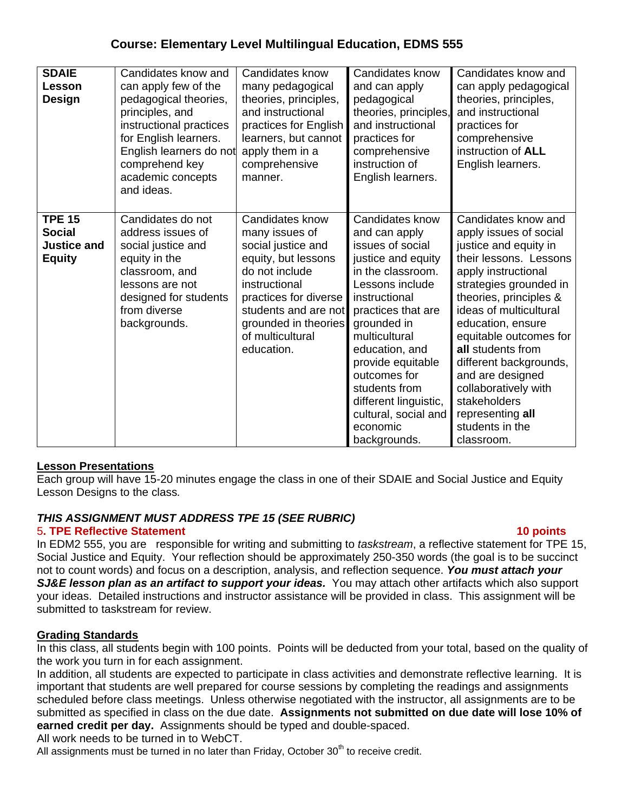| <b>SDAIE</b><br>Lesson<br>Design                                      | Candidates know and<br>can apply few of the<br>pedagogical theories,<br>principles, and<br>instructional practices<br>for English learners.<br>English learners do not<br>comprehend key<br>academic concepts<br>and ideas. | Candidates know<br>many pedagogical<br>theories, principles,<br>and instructional<br>practices for English<br>learners, but cannot<br>apply them in a<br>comprehensive<br>manner.                                            | Candidates know<br>and can apply<br>pedagogical<br>theories, principles,<br>and instructional<br>practices for<br>comprehensive<br>instruction of<br>English learners.                                                                                                                                                                         | Candidates know and<br>can apply pedagogical<br>theories, principles,<br>and instructional<br>practices for<br>comprehensive<br>instruction of ALL<br>English learners.                                                                                                                                                                                                                                              |
|-----------------------------------------------------------------------|-----------------------------------------------------------------------------------------------------------------------------------------------------------------------------------------------------------------------------|------------------------------------------------------------------------------------------------------------------------------------------------------------------------------------------------------------------------------|------------------------------------------------------------------------------------------------------------------------------------------------------------------------------------------------------------------------------------------------------------------------------------------------------------------------------------------------|----------------------------------------------------------------------------------------------------------------------------------------------------------------------------------------------------------------------------------------------------------------------------------------------------------------------------------------------------------------------------------------------------------------------|
| <b>TPE 15</b><br><b>Social</b><br><b>Justice and</b><br><b>Equity</b> | Candidates do not<br>address issues of<br>social justice and<br>equity in the<br>classroom, and<br>lessons are not<br>designed for students<br>from diverse<br>backgrounds.                                                 | Candidates know<br>many issues of<br>social justice and<br>equity, but lessons<br>do not include<br>instructional<br>practices for diverse<br>students and are not<br>grounded in theories<br>of multicultural<br>education. | Candidates know<br>and can apply<br>issues of social<br>justice and equity<br>in the classroom.<br>Lessons include<br>instructional<br>practices that are<br>grounded in<br>multicultural<br>education, and<br>provide equitable<br>outcomes for<br>students from<br>different linguistic,<br>cultural, social and<br>economic<br>backgrounds. | Candidates know and<br>apply issues of social<br>justice and equity in<br>their lessons. Lessons<br>apply instructional<br>strategies grounded in<br>theories, principles &<br>ideas of multicultural<br>education, ensure<br>equitable outcomes for<br>all students from<br>different backgrounds,<br>and are designed<br>collaboratively with<br>stakeholders<br>representing all<br>students in the<br>classroom. |

## **Lesson Presentations**

Each group will have 15-20 minutes engage the class in one of their SDAIE and Social Justice and Equity Lesson Designs to the class*.* 

# *THIS ASSIGNMENT MUST ADDRESS TPE 15 (SEE RUBRIC)*

## 5**. TPE Reflective Statement 10 points**

In EDM2 555, you are responsible for writing and submitting to *taskstream*, a reflective statement for TPE 15, Social Justice and Equity. Your reflection should be approximately 250-350 words (the goal is to be succinct not to count words) and focus on a description, analysis, and reflection sequence. *You must attach your*  **SJ&E lesson plan as an artifact to support your ideas.** You may attach other artifacts which also support your ideas. Detailed instructions and instructor assistance will be provided in class. This assignment will be submitted to taskstream for review.

## **Grading Standards**

In this class, all students begin with 100 points. Points will be deducted from your total, based on the quality of the work you turn in for each assignment.

 submitted as specified in class on the due date. **Assignments not submitted on due date will lose 10% of**  In addition, all students are expected to participate in class activities and demonstrate reflective learning. It is important that students are well prepared for course sessions by completing the readings and assignments scheduled before class meetings. Unless otherwise negotiated with the instructor, all assignments are to be **earned credit per day.** Assignments should be typed and double-spaced.

All work needs to be turned in to WebCT.

All assignments must be turned in no later than Friday, October  $30<sup>th</sup>$  to receive credit.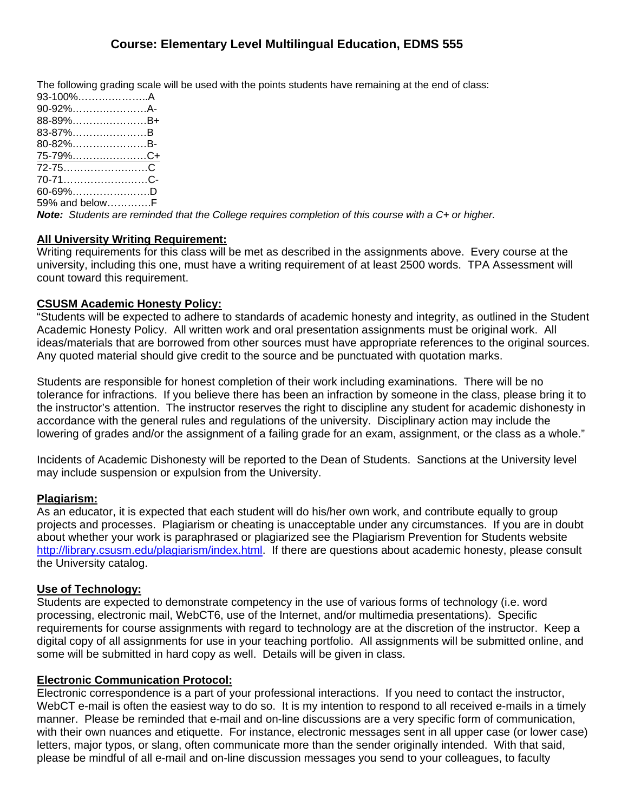The following grading scale will be used with the points students have remaining at the end of class:

| 93-100%A        |  |
|-----------------|--|
| 90-92%A-        |  |
| 88-89%B+        |  |
| 83-87%B         |  |
| 80-82%B-        |  |
| <u>75-79%C+</u> |  |
|                 |  |
| 70-71C-         |  |
| 60-69%……………………D |  |
| 59% and belowF  |  |

*Note: Students are reminded that the College requires completion of this course with a C+ or higher.* 

# **All University Writing Requirement:**

Writing requirements for this class will be met as described in the assignments above. Every course at the university, including this one, must have a writing requirement of at least 2500 words. TPA Assessment will count toward this requirement.

# **CSUSM Academic Honesty Policy:**

"Students will be expected to adhere to standards of academic honesty and integrity, as outlined in the Student Academic Honesty Policy. All written work and oral presentation assignments must be original work. All ideas/materials that are borrowed from other sources must have appropriate references to the original sources. Any quoted material should give credit to the source and be punctuated with quotation marks.

Students are responsible for honest completion of their work including examinations. There will be no tolerance for infractions. If you believe there has been an infraction by someone in the class, please bring it to the instructor's attention. The instructor reserves the right to discipline any student for academic dishonesty in accordance with the general rules and regulations of the university. Disciplinary action may include the lowering of grades and/or the assignment of a failing grade for an exam, assignment, or the class as a whole."

Incidents of Academic Dishonesty will be reported to the Dean of Students. Sanctions at the University level may include suspension or expulsion from the University.

# **Plagiarism:**

As an educator, it is expected that each student will do his/her own work, and contribute equally to group projects and processes. Plagiarism or cheating is unacceptable under any circumstances. If you are in doubt about whether your work is paraphrased or plagiarized see the Plagiarism Prevention for Students website http://library.csusm.edu/plagiarism/index.html. If there are questions about academic honesty, please consult the University catalog.

## **Use of Technology:**

Students are expected to demonstrate competency in the use of various forms of technology (i.e. word processing, electronic mail, WebCT6, use of the Internet, and/or multimedia presentations). Specific requirements for course assignments with regard to technology are at the discretion of the instructor. Keep a digital copy of all assignments for use in your teaching portfolio. All assignments will be submitted online, and some will be submitted in hard copy as well. Details will be given in class.

## **Electronic Communication Protocol:**

Electronic correspondence is a part of your professional interactions. If you need to contact the instructor, WebCT e-mail is often the easiest way to do so. It is my intention to respond to all received e-mails in a timely manner. Please be reminded that e-mail and on-line discussions are a very specific form of communication, with their own nuances and etiquette. For instance, electronic messages sent in all upper case (or lower case) letters, major typos, or slang, often communicate more than the sender originally intended. With that said, please be mindful of all e-mail and on-line discussion messages you send to your colleagues, to faculty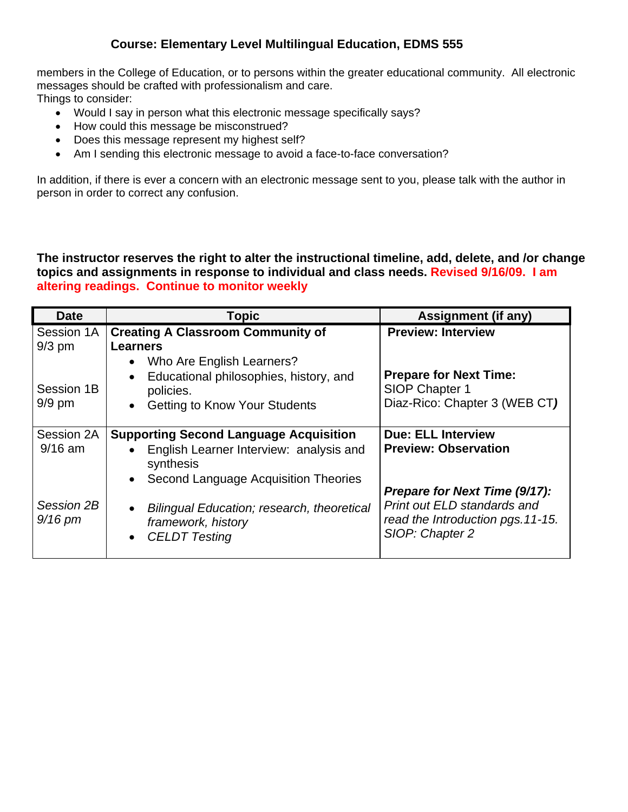members in the College of Education, or to persons within the greater educational community. All electronic messages should be crafted with professionalism and care. Things to consider:

- Would I say in person what this electronic message specifically says?
- How could this message be misconstrued?
- Does this message represent my highest self?
- Am I sending this electronic message to avoid a face-to-face conversation?

In addition, if there is ever a concern with an electronic message sent to you, please talk with the author in person in order to correct any confusion.

**The instructor reserves the right to alter the instructional timeline, add, delete, and /or change topics and assignments in response to individual and class needs. Revised 9/16/09. I am altering readings. Continue to monitor weekly** 

| <b>Date</b>             | <b>Topic</b>                                                                                                                                                            | <b>Assignment (if any)</b>                                                                |
|-------------------------|-------------------------------------------------------------------------------------------------------------------------------------------------------------------------|-------------------------------------------------------------------------------------------|
| Session 1A<br>$9/3$ pm  | <b>Creating A Classroom Community of</b><br><b>Learners</b>                                                                                                             | <b>Preview: Interview</b>                                                                 |
| Session 1B<br>$9/9$ pm  | • Who Are English Learners?<br>Educational philosophies, history, and<br>policies.<br><b>Getting to Know Your Students</b><br>$\bullet$                                 | <b>Prepare for Next Time:</b><br>SIOP Chapter 1<br>Diaz-Rico: Chapter 3 (WEB CT)          |
| Session 2A<br>$9/16$ am | <b>Supporting Second Language Acquisition</b><br>English Learner Interview: analysis and<br>$\bullet$<br>synthesis<br>Second Language Acquisition Theories<br>$\bullet$ | <b>Due: ELL Interview</b><br><b>Preview: Observation</b><br>Prepare for Next Time (9/17): |
| Session 2B<br>$9/16$ pm | Bilingual Education; research, theoretical<br>$\bullet$<br>framework, history<br><b>CELDT</b> Testing<br>$\bullet$                                                      | Print out ELD standards and<br>read the Introduction pgs. 11-15.<br>SIOP: Chapter 2       |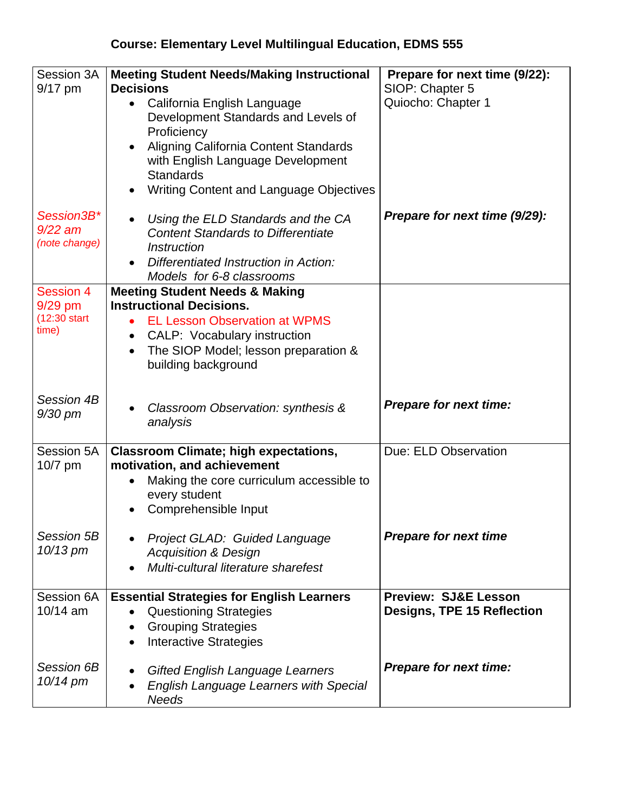| Session 3A<br>$9/17$ pm                           | <b>Meeting Student Needs/Making Instructional</b><br><b>Decisions</b><br>California English Language<br>$\bullet$<br>Development Standards and Levels of<br>Proficiency<br>Aligning California Content Standards<br>$\bullet$<br>with English Language Development<br><b>Standards</b><br>Writing Content and Language Objectives | Prepare for next time (9/22):<br>SIOP: Chapter 5<br>Quiocho: Chapter 1 |
|---------------------------------------------------|-----------------------------------------------------------------------------------------------------------------------------------------------------------------------------------------------------------------------------------------------------------------------------------------------------------------------------------|------------------------------------------------------------------------|
| Session3B*<br>9/22 am<br>(note change)            | Using the ELD Standards and the CA<br><b>Content Standards to Differentiate</b><br><b>Instruction</b><br>Differentiated Instruction in Action:<br>Models for 6-8 classrooms                                                                                                                                                       | Prepare for next time (9/29):                                          |
| Session 4<br>$9/29$ pm<br>$(12:30$ start<br>time) | <b>Meeting Student Needs &amp; Making</b><br><b>Instructional Decisions.</b><br><b>EL Lesson Observation at WPMS</b><br><b>CALP:</b> Vocabulary instruction<br>The SIOP Model; lesson preparation &<br>$\bullet$<br>building background                                                                                           |                                                                        |
| Session 4B<br>9/30 pm                             | Classroom Observation: synthesis &<br>analysis                                                                                                                                                                                                                                                                                    | <b>Prepare for next time:</b>                                          |
| Session 5A<br>10/7 pm                             | <b>Classroom Climate; high expectations,</b><br>motivation, and achievement<br>Making the core curriculum accessible to<br>every student<br>Comprehensible Input                                                                                                                                                                  | Due: ELD Observation                                                   |
| Session 5B<br>$10/13$ pm                          | Project GLAD: Guided Language<br><b>Acquisition &amp; Design</b><br>Multi-cultural literature sharefest                                                                                                                                                                                                                           | <b>Prepare for next time</b>                                           |
| Session 6A<br>$10/14$ am                          | <b>Essential Strategies for English Learners</b><br><b>Questioning Strategies</b><br><b>Grouping Strategies</b><br><b>Interactive Strategies</b>                                                                                                                                                                                  | <b>Preview: SJ&amp;E Lesson</b><br>Designs, TPE 15 Reflection          |
| Session 6B<br>$10/14$ pm                          | <b>Gifted English Language Learners</b><br><b>English Language Learners with Special</b><br><b>Needs</b>                                                                                                                                                                                                                          | <b>Prepare for next time:</b>                                          |